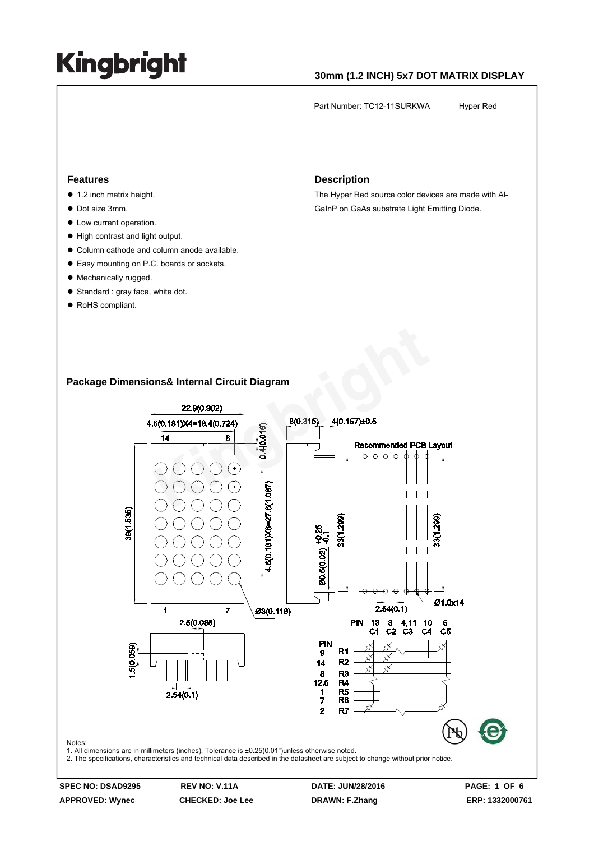### **30mm (1.2 INCH) 5x7 DOT MATRIX DISPLAY**

Part Number: TC12-11SURKWA Hyper Red

#### **Features**

- $\bullet$  1.2 inch matrix height.
- $\bullet$  Dot size 3mm.
- $\bullet$  Low current operation.
- $\bullet$  High contrast and light output.
- $\bullet$  Column cathode and column anode available.
- Easy mounting on P.C. boards or sockets.
- Mechanically rugged.
- $\bullet$  Standard : gray face, white dot.
- RoHS compliant.

#### **Description**

The Hyper Red source color devices are made with Al-GaInP on GaAs substrate Light Emitting Diode.

### **Package Dimensions& Internal Circuit Diagram**



**APPROVED: Wynec CHECKED: Joe Lee DRAWN: F.Zhang ERP: 1332000761** 

Notes: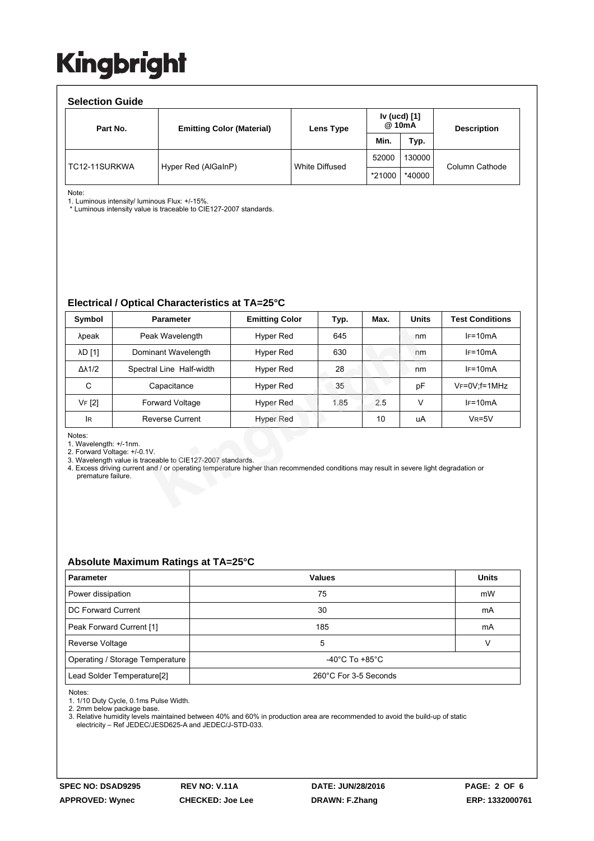#### **Selection Guide**  Part No. **Emitting Color (Material)** Lens Type **Iv (ucd) [1] Description Min. Typ.**  TC12-11SURKWA | Hyper Red (AlGaInP) | White Diffused 52000 130000 \*21000 \*40000 Column Cathode

Note:

1. Luminous intensity/ luminous Flux: +/-15%.

\* Luminous intensity value is traceable to CIE127-2007 standards.

### **Electrical / Optical Characteristics at TA=25°C**

| Symbol                                                                                                                                                                                                                                                                                        | <b>Parameter</b>         | <b>Emitting Color</b> | Typ. | Max. | <b>Units</b> | <b>Test Conditions</b> |  |
|-----------------------------------------------------------------------------------------------------------------------------------------------------------------------------------------------------------------------------------------------------------------------------------------------|--------------------------|-----------------------|------|------|--------------|------------------------|--|
| λpeak                                                                                                                                                                                                                                                                                         | Peak Wavelength          | Hyper Red             | 645  |      | nm           | $IF=10mA$              |  |
| <b>AD</b> [1]                                                                                                                                                                                                                                                                                 | Dominant Wavelength      | Hyper Red             | 630  |      | nm           | $IF=10mA$              |  |
| $\Delta\lambda$ 1/2                                                                                                                                                                                                                                                                           | Spectral Line Half-width | Hyper Red             | 28   |      | nm           | $IF=10mA$              |  |
| C                                                                                                                                                                                                                                                                                             | Capacitance              | Hyper Red             | 35   |      | рF           | $V_F = 0V$ ; f = 1MHz  |  |
| <b>VF</b> [2]                                                                                                                                                                                                                                                                                 | <b>Forward Voltage</b>   | Hyper Red             | 1.85 | 2.5  | V            | $IF=10mA$              |  |
| lR.                                                                                                                                                                                                                                                                                           | <b>Reverse Current</b>   | Hyper Red             |      | 10   | uA           | $V_R = 5V$             |  |
| Notes:<br>1. Wavelength: +/-1nm.<br>2. Forward Voltage: +/-0.1V.<br>3. Wavelength value is traceable to CIE127-2007 standards.<br>4. Excess driving current and / or operating temperature higher than recommended conditions may result in severe light degradation or<br>premature failure. |                          |                       |      |      |              |                        |  |

### **Absolute Maximum Ratings at TA=25°C**

| <b>Parameter</b>                       | <b>Values</b>                      | <b>Units</b> |  |  |
|----------------------------------------|------------------------------------|--------------|--|--|
| Power dissipation                      | 75                                 | mW           |  |  |
| DC Forward Current                     | 30                                 | mA           |  |  |
| Peak Forward Current [1]               | 185                                | mA           |  |  |
| Reverse Voltage                        | 5                                  |              |  |  |
| Operating / Storage Temperature        | $-40^{\circ}$ C To $+85^{\circ}$ C |              |  |  |
| Lead Solder Temperature <sup>[2]</sup> | 260°C For 3-5 Seconds              |              |  |  |

Notes:

1. 1/10 Duty Cycle, 0.1ms Pulse Width.

2. 2mm below package base.

3. Relative humidity levels maintained between 40% and 60% in production area are recommended to avoid the build-up of static electricity – Ref JEDEC/JESD625-A and JEDEC/J-STD-033.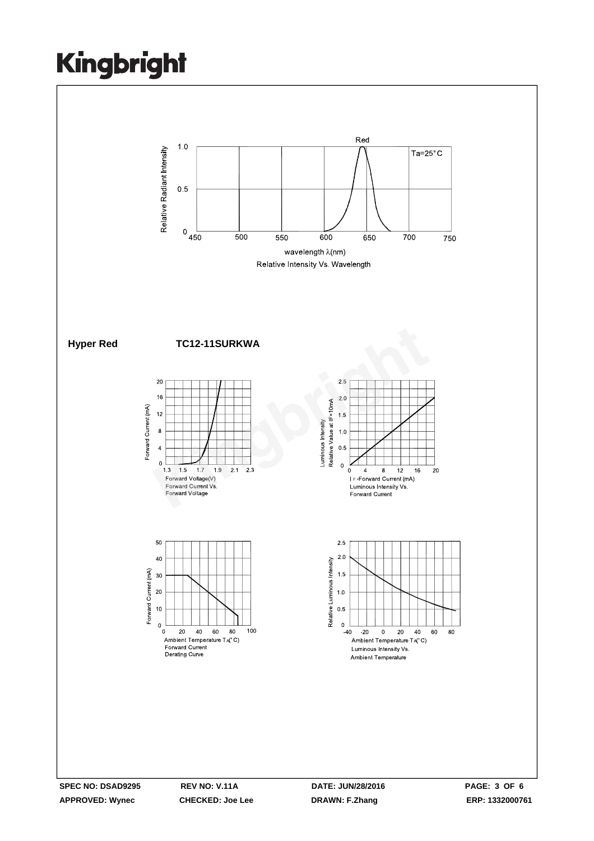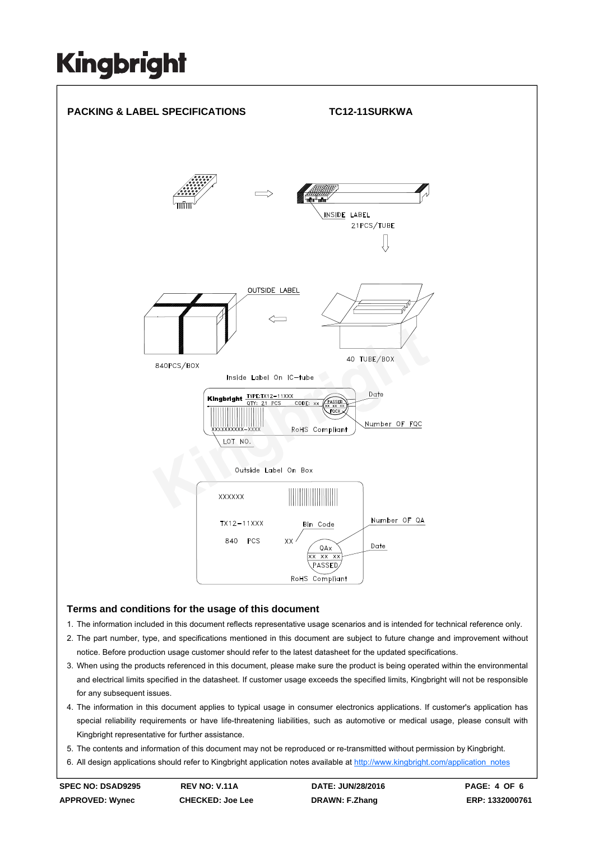

### **Terms and conditions for the usage of this document**

- 1. The information included in this document reflects representative usage scenarios and is intended for technical reference only.
- 2. The part number, type, and specifications mentioned in this document are subject to future change and improvement without notice. Before production usage customer should refer to the latest datasheet for the updated specifications.
- 3. When using the products referenced in this document, please make sure the product is being operated within the environmental and electrical limits specified in the datasheet. If customer usage exceeds the specified limits, Kingbright will not be responsible for any subsequent issues.
- 4. The information in this document applies to typical usage in consumer electronics applications. If customer's application has special reliability requirements or have life-threatening liabilities, such as automotive or medical usage, please consult with Kingbright representative for further assistance.
- 5. The contents and information of this document may not be reproduced or re-transmitted without permission by Kingbright.
- 6. All design applications should refer to Kingbright application notes available at http://www.kingbright.com/application\_notes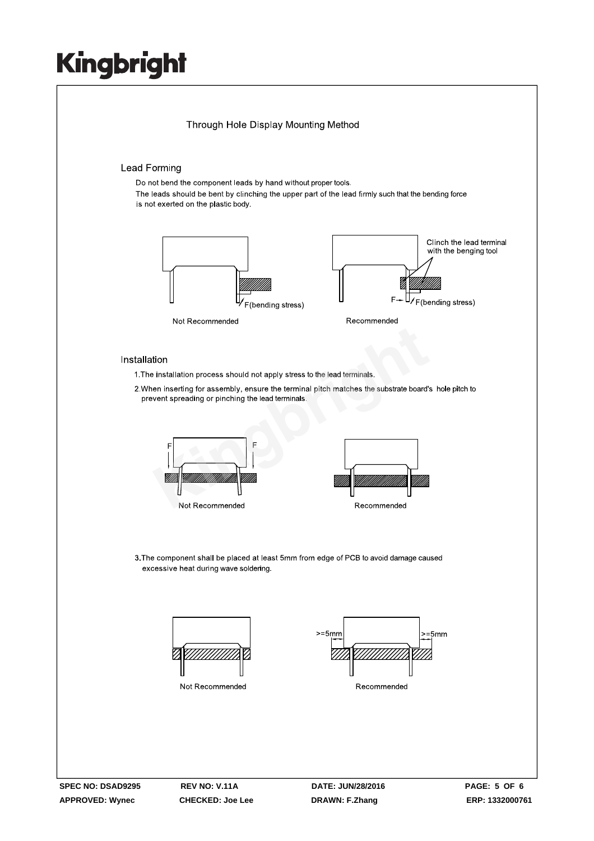